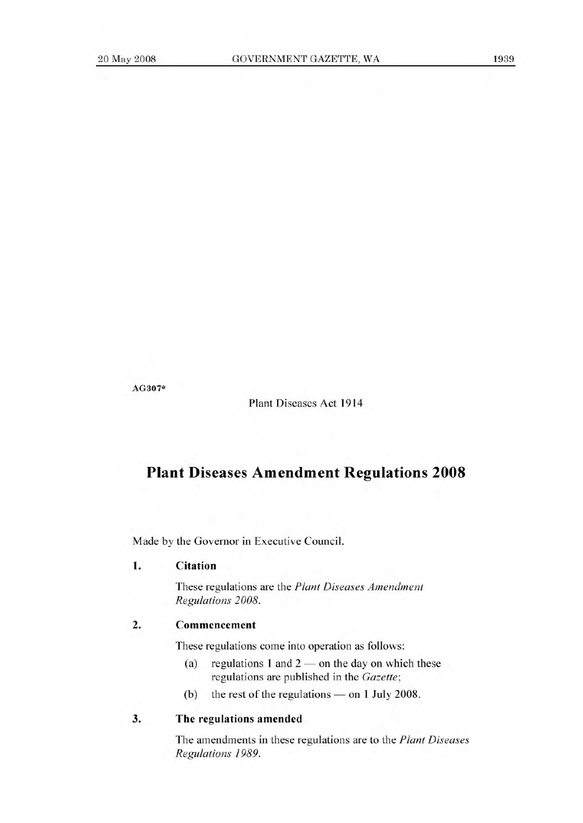**AG307\*** 

Plant Diseases Act 1914

# **Plant Diseases Amendment Regulations 2008**

Made by the Governor in Executive Council.

### **I. Citation**

These regulations are the *Plant Diseases Amendment Regulations 2008.* 

## **2. Commencement**

These regulations come into operation as follows:

- (a) regulations 1 and  $2$  on the day on which these regulations are published in the *Gazette;*
- (b) the rest of the regulations on 1 July 2008.

#### 3. The regulations **amended**

The amendments in these regulations are to the *Plant Diseases Regulations 1989.*